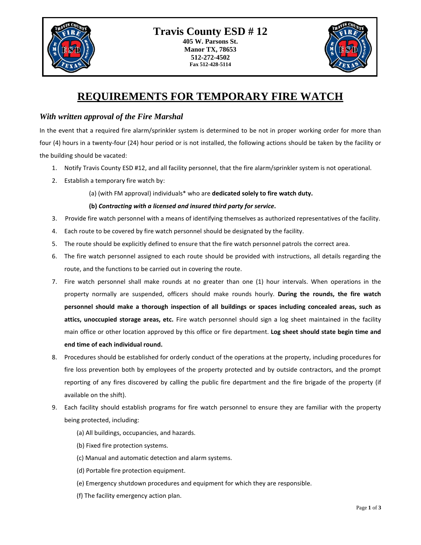

## **REQUIREMENTS FOR TEMPORARY FIRE WATCH**

## *With written approval of the Fire Marshal*

In the event that a required fire alarm/sprinkler system is determined to be not in proper working order for more than four (4) hours in a twenty-four (24) hour period or is not installed, the following actions should be taken by the facility or the building should be vacated:

- 1. Notify Travis County ESD #12, and all facility personnel, that the fire alarm/sprinkler system is not operational.
- 2. Establish a temporary fire watch by:
	- (a) (with FM approval) individuals\* who are **dedicated solely to fire watch duty.**

## **(b)** *Contracting with a licensed and insured third party for service***.**

- 3. Provide fire watch personnel with a means of identifying themselves as authorized representatives of the facility.
- 4. Each route to be covered by fire watch personnel should be designated by the facility.
- 5. The route should be explicitly defined to ensure that the fire watch personnel patrols the correct area.
- 6. The fire watch personnel assigned to each route should be provided with instructions, all details regarding the route, and the functions to be carried out in covering the route.
- 7. Fire watch personnel shall make rounds at no greater than one (1) hour intervals. When operations in the property normally are suspended, officers should make rounds hourly. **During the rounds, the fire watch personnel should make a thorough inspection of all buildings or spaces including concealed areas, such as attics, unoccupied storage areas, etc.** Fire watch personnel should sign a log sheet maintained in the facility main office or other location approved by this office or fire department. **Log sheet should state begin time and end time of each individual round.**
- 8. Procedures should be established for orderly conduct of the operations at the property, including procedures for fire loss prevention both by employees of the property protected and by outside contractors, and the prompt reporting of any fires discovered by calling the public fire department and the fire brigade of the property (if available on the shift).
- 9. Each facility should establish programs for fire watch personnel to ensure they are familiar with the property being protected, including:
	- (a) All buildings, occupancies, and hazards.
	- (b) Fixed fire protection systems.
	- (c) Manual and automatic detection and alarm systems.
	- (d) Portable fire protection equipment.
	- (e) Emergency shutdown procedures and equipment for which they are responsible.
	- (f) The facility emergency action plan.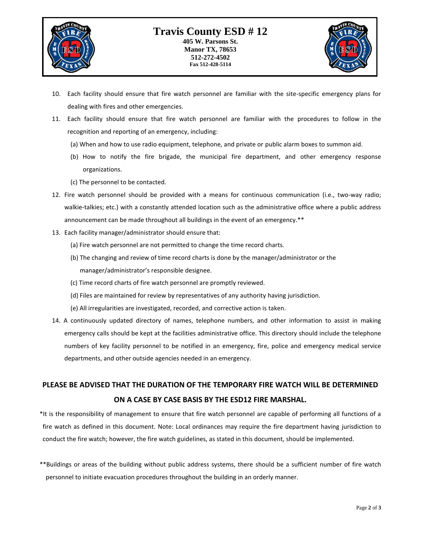

**512-272-4502 Fax 512-428-5114**



- 10. Each facility should ensure that fire watch personnel are familiar with the site-specific emergency plans for dealing with fires and other emergencies.
- 11. Each facility should ensure that fire watch personnel are familiar with the procedures to follow in the recognition and reporting of an emergency, including:
	- (a) When and how to use radio equipment, telephone, and private or public alarm boxes to summon aid.
	- (b) How to notify the fire brigade, the municipal fire department, and other emergency response organizations.
	- (c) The personnel to be contacted.
- 12. Fire watch personnel should be provided with a means for continuous communication (i.e., two-way radio; walkie-talkies; etc.) with a constantly attended location such as the administrative office where a public address announcement can be made throughout all buildings in the event of an emergency.\*\*
- 13. Each facility manager/administrator should ensure that:
	- (a) Fire watch personnel are not permitted to change the time record charts.
	- (b) The changing and review of time record charts is done by the manager/administrator or the manager/administrator's responsible designee.
	- (c) Time record charts of fire watch personnel are promptly reviewed.
	- (d) Files are maintained for review by representatives of any authority having jurisdiction.
	- (e) All irregularities are investigated, recorded, and corrective action is taken.
- 14. A continuously updated directory of names, telephone numbers, and other information to assist in making emergency calls should be kept at the facilities administrative office. This directory should include the telephone numbers of key facility personnel to be notified in an emergency, fire, police and emergency medical service departments, and other outside agencies needed in an emergency.

## **PLEASE BE ADVISED THAT THE DURATION OF THE TEMPORARY FIRE WATCH WILL BE DETERMINED ON A CASE BY CASE BASIS BY THE ESD12 FIRE MARSHAL.**

\*It is the responsibility of management to ensure that fire watch personnel are capable of performing all functions of a fire watch as defined in this document. Note: Local ordinances may require the fire department having jurisdiction to conduct the fire watch; however, the fire watch guidelines, as stated in this document, should be implemented.

\*\*Buildings or areas of the building without public address systems, there should be a sufficient number of fire watch personnel to initiate evacuation procedures throughout the building in an orderly manner.